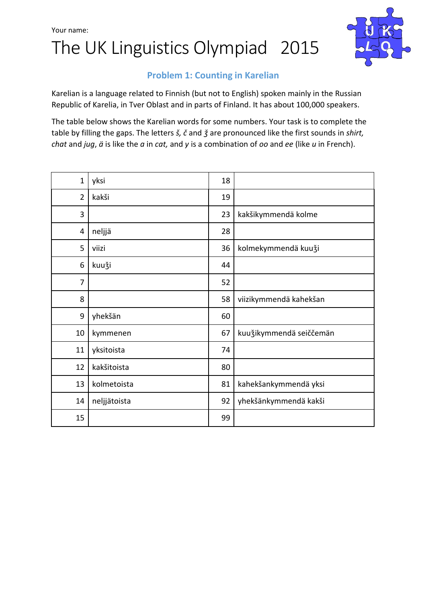



## Problem 1: Counting in Karelian

Karelian is a language related to Finnish (but not to English) spoken mainly in the Russian Republic of Karelia, in Tver Oblast and in parts of Finland. It has about 100,000 speakers.

The table below shows the Karelian words for some numbers. Your task is to complete the table by filling the gaps. The letters  $\check{s}$ ,  $\check{c}$  and  $\check{g}$  are pronounced like the first sounds in shirt, chat and jug,  $\ddot{a}$  is like the  $a$  in cat, and  $y$  is a combination of  $oo$  and  $ee$  (like  $u$  in French).

| $\mathbf{1}$   | yksi         | 18 |                          |
|----------------|--------------|----|--------------------------|
| $\overline{2}$ | kakši        | 19 |                          |
| 3              |              | 23 | kakšikymmendä kolme      |
| 4              | neljjä       | 28 |                          |
| 5              | viizi        | 36 | kolmekymmendä kuuži      |
| 6              | kuuži        | 44 |                          |
| 7              |              | 52 |                          |
| 8              |              | 58 | viizikymmendä kahekšan   |
| 9              | yhekšän      | 60 |                          |
| 10             | kymmenen     | 67 | kuu žikymmendä seiččemän |
| 11             | yksitoista   | 74 |                          |
| 12             | kakšitoista  | 80 |                          |
| 13             | kolmetoista  | 81 | kahekšankymmendä yksi    |
| 14             | neljjätoista | 92 | yhekšänkymmendä kakši    |
| 15             |              | 99 |                          |